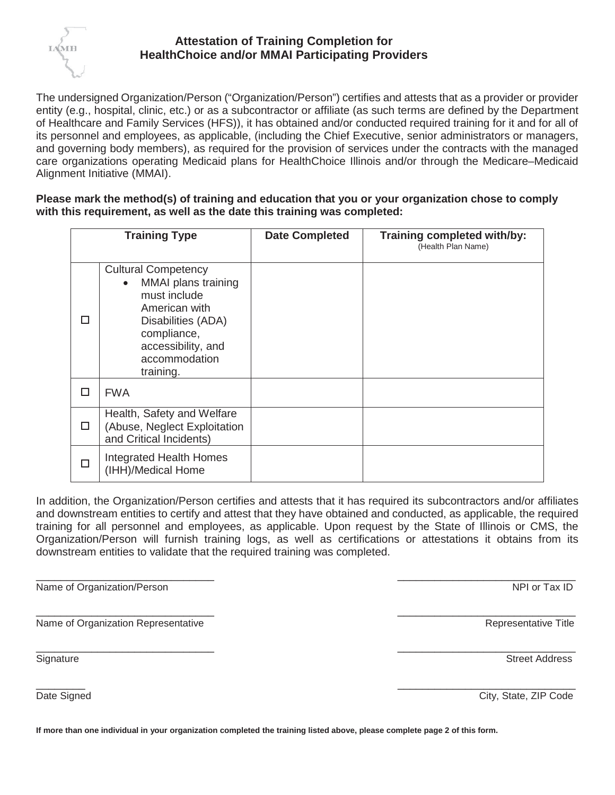

## **Attestation of Training Completion for HealthChoice and/or MMAI Participating Providers**

The undersigned Organization/Person ("Organization/Person") certifies and attests that as a provider or provider entity (e.g., hospital, clinic, etc.) or as a subcontractor or affiliate (as such terms are defined by the Department of Healthcare and Family Services (HFS)), it has obtained and/or conducted required training for it and for all of its personnel and employees, as applicable, (including the Chief Executive, senior administrators or managers, and governing body members), as required for the provision of services under the contracts with the managed care organizations operating Medicaid plans for HealthChoice Illinois and/or through the Medicare–Medicaid Alignment Initiative (MMAI).

**Please mark the method(s) of training and education that you or your organization chose to comply with this requirement, as well as the date this training was completed:**

| <b>Training Type</b> |                                                                                                                                                                                          | <b>Date Completed</b> | Training completed with/by:<br>(Health Plan Name) |
|----------------------|------------------------------------------------------------------------------------------------------------------------------------------------------------------------------------------|-----------------------|---------------------------------------------------|
|                      | <b>Cultural Competency</b><br>MMAI plans training<br>$\bullet$<br>must include<br>American with<br>Disabilities (ADA)<br>compliance,<br>accessibility, and<br>accommodation<br>training. |                       |                                                   |
| П                    | <b>FWA</b>                                                                                                                                                                               |                       |                                                   |
| П                    | Health, Safety and Welfare<br>(Abuse, Neglect Exploitation<br>and Critical Incidents)                                                                                                    |                       |                                                   |
|                      | Integrated Health Homes<br>(IHH)/Medical Home                                                                                                                                            |                       |                                                   |

In addition, the Organization/Person certifies and attests that it has required its subcontractors and/or affiliates and downstream entities to certify and attest that they have obtained and conducted, as applicable, the required training for all personnel and employees, as applicable. Upon request by the State of Illinois or CMS, the Organization/Person will furnish training logs, as well as certifications or attestations it obtains from its downstream entities to validate that the required training was completed.

 $\overline{\phantom{a}}$  , and the contract of the contract of the contract of the contract of the contract of the contract of the contract of the contract of the contract of the contract of the contract of the contract of the contrac

 $\overline{\phantom{a}}$  , and the contract of the contract of the contract of the contract of the contract of the contract of the contract of the contract of the contract of the contract of the contract of the contract of the contrac

Name of Organization/Person NPI or Tax ID

 $\overline{\phantom{a}}$  , and the contract of the contract of the contract of the contract of the contract of the contract of the contract of the contract of the contract of the contract of the contract of the contract of the contrac Name of Organization RepresentativeRepresentative Title

Signature Street Address Street Address Street Address Street Address Street Address Street Address Street Address Street Address Street Address Street Address Street Address Street Address Street Address Street Address St

 $\overline{\phantom{a}}$  , and the contract of the contract of the contract of the contract of the contract of the contract of the contract of the contract of the contract of the contract of the contract of the contract of the contrac

Date Signed City, State, ZIP Code

**If more than one individual in your organization completed the training listed above, please complete page 2 of this form.**